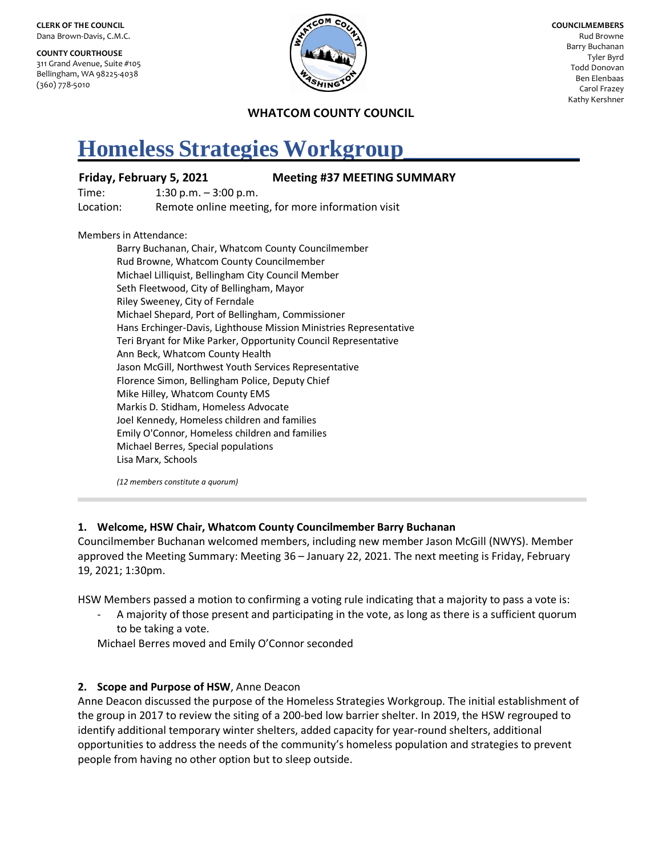**CLERK OF THE COUNCIL** Dana Brown-Davis, C.M.C.

**COUNTY COURTHOUSE** 311 Grand Avenue, Suite #105 Bellingham, WA 98225-4038 (360) 778-5010



**COUNCILMEMBERS** Rud Browne Barry Buchanan Tyler Byrd Todd Donovan Ben Elenbaas Carol Frazey Kathy Kershner

### **WHATCOM COUNTY COUNCIL**

# **Homeless Strategies Workgroup\_\_\_\_\_\_\_\_\_\_\_\_\_\_\_**

#### **Friday, February 5, 2021 Meeting #37 MEETING SUMMARY**

Time: 1:30 p.m. – 3:00 p.m.

Location: Remote online meeting, for more information visit

Members in Attendance:

Barry Buchanan, Chair, Whatcom County Councilmember Rud Browne, Whatcom County Councilmember Michael Lilliquist, Bellingham City Council Member Seth Fleetwood, City of Bellingham, Mayor Riley Sweeney, City of Ferndale Michael Shepard, Port of Bellingham, Commissioner Hans Erchinger-Davis, Lighthouse Mission Ministries Representative Teri Bryant for Mike Parker, Opportunity Council Representative Ann Beck, Whatcom County Health Jason McGill, Northwest Youth Services Representative Florence Simon, Bellingham Police, Deputy Chief Mike Hilley, Whatcom County EMS Markis D. Stidham, Homeless Advocate Joel Kennedy, Homeless children and families Emily O'Connor, Homeless children and families Michael Berres, Special populations Lisa Marx, Schools

*(12 members constitute a quorum)*

## **1. Welcome, HSW Chair, Whatcom County Councilmember Barry Buchanan**

Councilmember Buchanan welcomed members, including new member Jason McGill (NWYS). Member approved the Meeting Summary: Meeting 36 – January 22, 2021. The next meeting is Friday, February 19, 2021; 1:30pm.

HSW Members passed a motion to confirming a voting rule indicating that a majority to pass a vote is:

A majority of those present and participating in the vote, as long as there is a sufficient quorum to be taking a vote.

Michael Berres moved and Emily O'Connor seconded

## **2. Scope and Purpose of HSW**, Anne Deacon

Anne Deacon discussed the purpose of the Homeless Strategies Workgroup. The initial establishment of the group in 2017 to review the siting of a 200-bed low barrier shelter. In 2019, the HSW regrouped to identify additional temporary winter shelters, added capacity for year-round shelters, additional opportunities to address the needs of the community's homeless population and strategies to prevent people from having no other option but to sleep outside.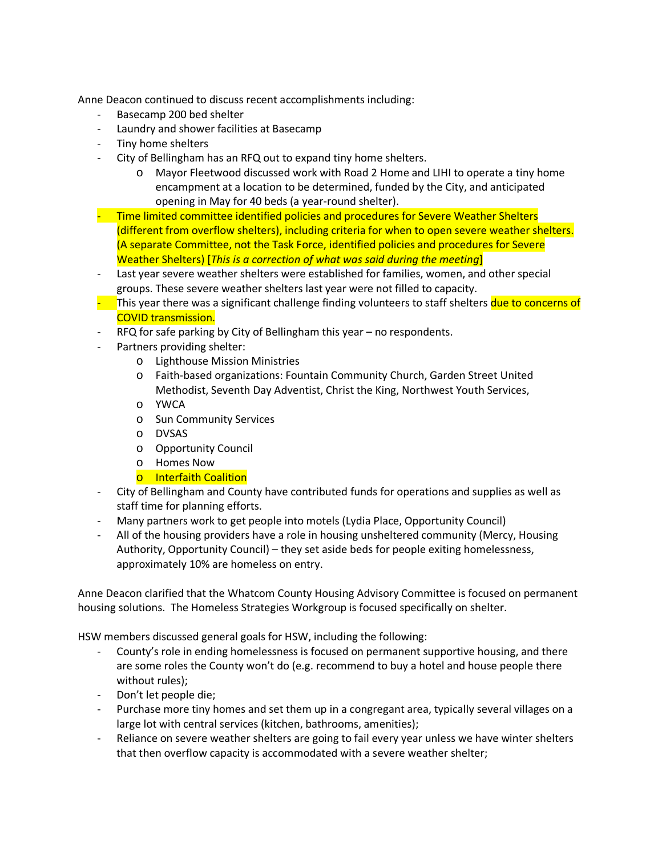Anne Deacon continued to discuss recent accomplishments including:

- Basecamp 200 bed shelter
- Laundry and shower facilities at Basecamp
- Tiny home shelters
- City of Bellingham has an RFQ out to expand tiny home shelters.
	- o Mayor Fleetwood discussed work with Road 2 Home and LIHI to operate a tiny home encampment at a location to be determined, funded by the City, and anticipated opening in May for 40 beds (a year-round shelter).
- Time limited committee identified policies and procedures for Severe Weather Shelters (different from overflow shelters), including criteria for when to open severe weather shelters. (A separate Committee, not the Task Force, identified policies and procedures for Severe Weather Shelters) [*This is a correction of what was said during the meeting*]
- Last year severe weather shelters were established for families, women, and other special groups. These severe weather shelters last year were not filled to capacity.
- This year there was a significant challenge finding volunteers to staff shelters due to concerns of COVID transmission.
- RFQ for safe parking by City of Bellingham this year no respondents.
- Partners providing shelter:
	- o Lighthouse Mission Ministries
	- o Faith-based organizations: Fountain Community Church, Garden Street United Methodist, Seventh Day Adventist, Christ the King, Northwest Youth Services,
	- o YWCA
	- o Sun Community Services
	- o DVSAS
	- o Opportunity Council
	- o Homes Now
	- o Interfaith Coalition
- City of Bellingham and County have contributed funds for operations and supplies as well as staff time for planning efforts.
- Many partners work to get people into motels (Lydia Place, Opportunity Council)
- All of the housing providers have a role in housing unsheltered community (Mercy, Housing Authority, Opportunity Council) – they set aside beds for people exiting homelessness, approximately 10% are homeless on entry.

Anne Deacon clarified that the Whatcom County Housing Advisory Committee is focused on permanent housing solutions. The Homeless Strategies Workgroup is focused specifically on shelter.

HSW members discussed general goals for HSW, including the following:

- County's role in ending homelessness is focused on permanent supportive housing, and there are some roles the County won't do (e.g. recommend to buy a hotel and house people there without rules);
- Don't let people die;
- Purchase more tiny homes and set them up in a congregant area, typically several villages on a large lot with central services (kitchen, bathrooms, amenities);
- Reliance on severe weather shelters are going to fail every year unless we have winter shelters that then overflow capacity is accommodated with a severe weather shelter;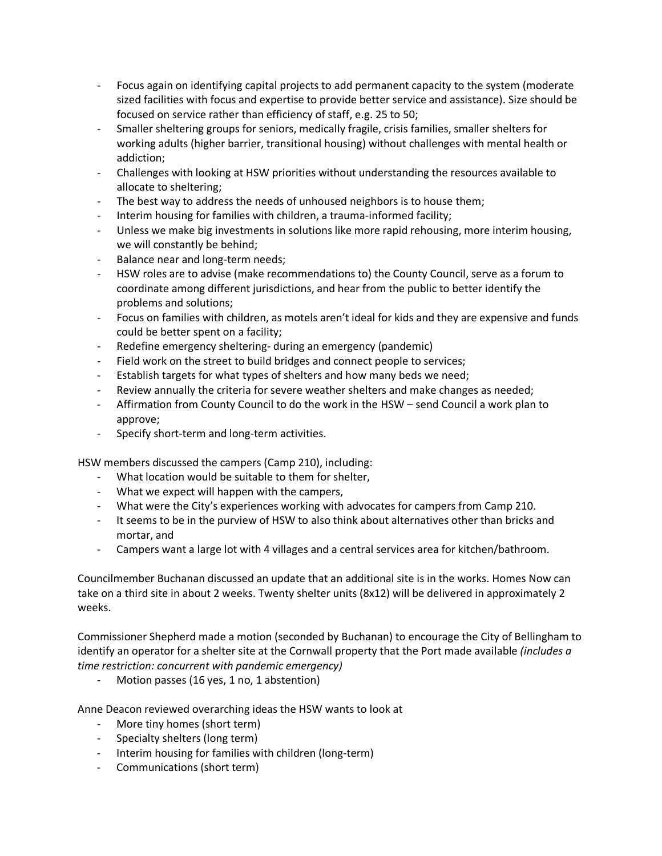- Focus again on identifying capital projects to add permanent capacity to the system (moderate sized facilities with focus and expertise to provide better service and assistance). Size should be focused on service rather than efficiency of staff, e.g. 25 to 50;
- Smaller sheltering groups for seniors, medically fragile, crisis families, smaller shelters for working adults (higher barrier, transitional housing) without challenges with mental health or addiction;
- Challenges with looking at HSW priorities without understanding the resources available to allocate to sheltering;
- The best way to address the needs of unhoused neighbors is to house them;
- Interim housing for families with children, a trauma-informed facility;
- Unless we make big investments in solutions like more rapid rehousing, more interim housing, we will constantly be behind;
- Balance near and long-term needs;
- HSW roles are to advise (make recommendations to) the County Council, serve as a forum to coordinate among different jurisdictions, and hear from the public to better identify the problems and solutions;
- Focus on families with children, as motels aren't ideal for kids and they are expensive and funds could be better spent on a facility;
- Redefine emergency sheltering- during an emergency (pandemic)
- Field work on the street to build bridges and connect people to services;
- Establish targets for what types of shelters and how many beds we need;
- Review annually the criteria for severe weather shelters and make changes as needed;
- Affirmation from County Council to do the work in the HSW send Council a work plan to approve;
- Specify short-term and long-term activities.

HSW members discussed the campers (Camp 210), including:

- What location would be suitable to them for shelter,
- What we expect will happen with the campers,
- What were the City's experiences working with advocates for campers from Camp 210.
- It seems to be in the purview of HSW to also think about alternatives other than bricks and mortar, and
- Campers want a large lot with 4 villages and a central services area for kitchen/bathroom.

Councilmember Buchanan discussed an update that an additional site is in the works. Homes Now can take on a third site in about 2 weeks. Twenty shelter units (8x12) will be delivered in approximately 2 weeks.

Commissioner Shepherd made a motion (seconded by Buchanan) to encourage the City of Bellingham to identify an operator for a shelter site at the Cornwall property that the Port made available *(includes a time restriction: concurrent with pandemic emergency)*

Motion passes (16 yes, 1 no, 1 abstention)

Anne Deacon reviewed overarching ideas the HSW wants to look at

- More tiny homes (short term)
- Specialty shelters (long term)
- Interim housing for families with children (long-term)
- Communications (short term)